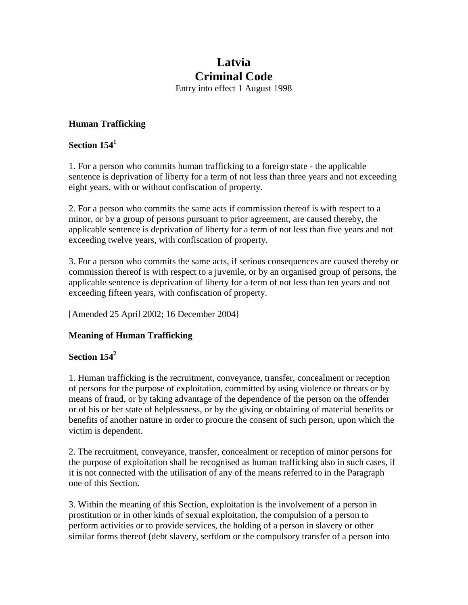# **Latvia Criminal Code**

Entry into effect 1 August 1998

## **Human Trafficking**

## **Section 154<sup>1</sup>**

1. For a person who commits human trafficking to a foreign state - the applicable sentence is deprivation of liberty for a term of not less than three years and not exceeding eight years, with or without confiscation of property.

2. For a person who commits the same acts if commission thereof is with respect to a minor, or by a group of persons pursuant to prior agreement, are caused thereby, the applicable sentence is deprivation of liberty for a term of not less than five years and not exceeding twelve years, with confiscation of property.

3. For a person who commits the same acts, if serious consequences are caused thereby or commission thereof is with respect to a juvenile, or by an organised group of persons, the applicable sentence is deprivation of liberty for a term of not less than ten years and not exceeding fifteen years, with confiscation of property.

[Amended 25 April 2002; 16 December 2004]

#### **Meaning of Human Trafficking**

# **Section 1542**

1. Human trafficking is the recruitment, conveyance, transfer, concealment or reception of persons for the purpose of exploitation, committed by using violence or threats or by means of fraud, or by taking advantage of the dependence of the person on the offender or of his or her state of helplessness, or by the giving or obtaining of material benefits or benefits of another nature in order to procure the consent of such person, upon which the victim is dependent.

2. The recruitment, conveyance, transfer, concealment or reception of minor persons for the purpose of exploitation shall be recognised as human trafficking also in such cases, if it is not connected with the utilisation of any of the means referred to in the Paragraph one of this Section.

3. Within the meaning of this Section, exploitation is the involvement of a person in prostitution or in other kinds of sexual exploitation, the compulsion of a person to perform activities or to provide services, the holding of a person in slavery or other similar forms thereof (debt slavery, serfdom or the compulsory transfer of a person into